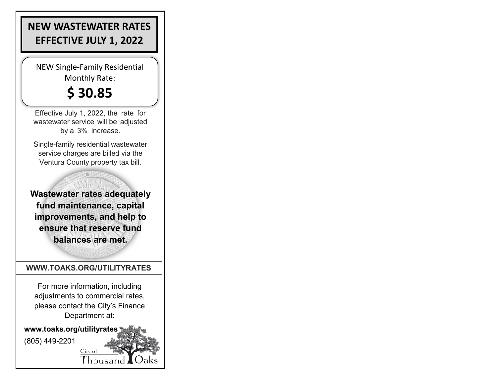## **NEW WASTEWATER RATES EFFECTIVE JULY 1, 2022**

NEW Single-Family Residential Monthly Rate:

## **\$ 30.85**

Effective July 1, 2022, the rate for wastewater service will be adjusted by a 3% increase.

Single-family residential wastewater service charges are billed via the Ventura County property tax bill.

**Wastewater rates adequately fund maintenance, capital improvements, and help to ensure that reserve fund balances are met.**

## **WWW.TOAKS.ORG/UTILITYRATES**

For more information, including adjustments to commercial rates, please contact the City's Finance Department at:

City of

Thousand

**www.toaks.org/utilityrates**

(805) 449-2201